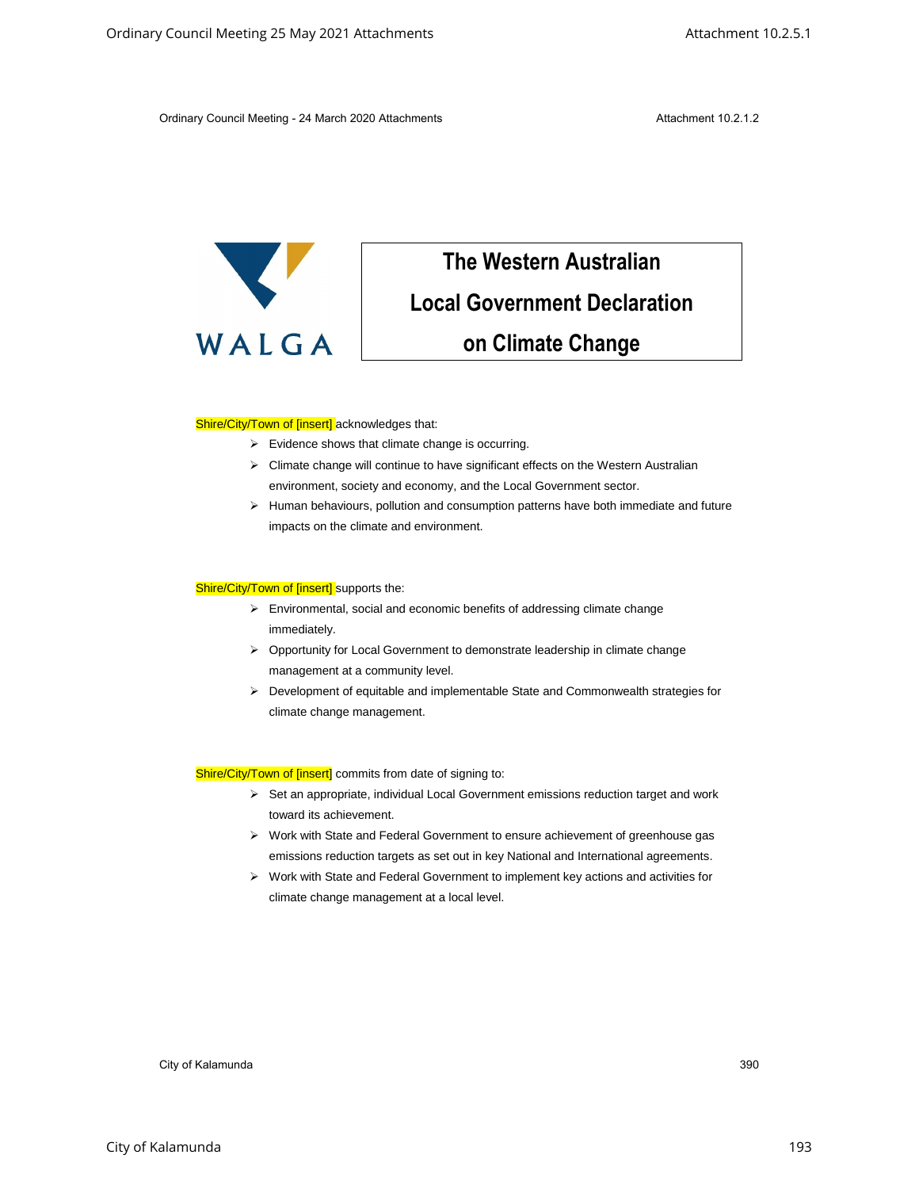Ordinary Council Meeting - 24 March 2020 Attachments **Attachment 10.2.1.2** Attachment 10.2.1.2



## **The Western Australian Local Government Declaration on Climate Change** Critics Council Meeting 25 May 2021 Attachments<br>
Critics Cause of Meeting 25 May 2021 Attachments<br>
Corollar Council Meeting Attachments<br>
Council Meeting Council Meeting Council Meeting Council Meeting Council Meeting Counc

## Shire/City/Town of [insert] acknowledges that:

- ➢ Evidence shows that climate change is occurring.
- ➢ Climate change will continue to have significant effects on the Western Australian environment, society and economy, and the Local Government sector.
- ➢ Human behaviours, pollution and consumption patterns have both immediate and future impacts on the climate and environment.

## Shire/City/Town of [insert] supports the:

- ➢ Environmental, social and economic benefits of addressing climate change immediately.
- ➢ Opportunity for Local Government to demonstrate leadership in climate change management at a community level.
- ➢ Development of equitable and implementable State and Commonwealth strategies for climate change management.

Shire/City/Town of [insert] commits from date of signing to:

- ➢ Set an appropriate, individual Local Government emissions reduction target and work toward its achievement.
- ➢ Work with State and Federal Government to ensure achievement of greenhouse gas emissions reduction targets as set out in key National and International agreements.
- ➢ Work with State and Federal Government to implement key actions and activities for climate change management at a local level.